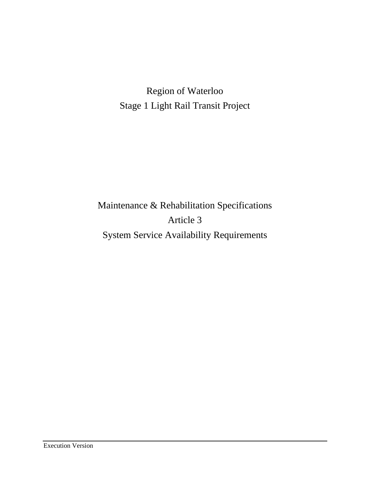Region of Waterloo Stage 1 Light Rail Transit Project

Maintenance & Rehabilitation Specifications Article 3 System Service Availability Requirements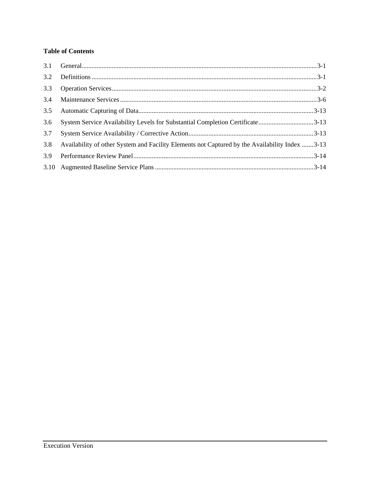# **Table of Contents**

| 3.1 |                                                                                                |  |
|-----|------------------------------------------------------------------------------------------------|--|
| 3.2 |                                                                                                |  |
| 3.3 |                                                                                                |  |
| 3.4 |                                                                                                |  |
| 3.5 |                                                                                                |  |
| 3.6 | System Service Availability Levels for Substantial Completion Certificate3-13                  |  |
| 3.7 |                                                                                                |  |
| 3.8 | Availability of other System and Facility Elements not Captured by the Availability Index 3-13 |  |
| 3.9 |                                                                                                |  |
|     |                                                                                                |  |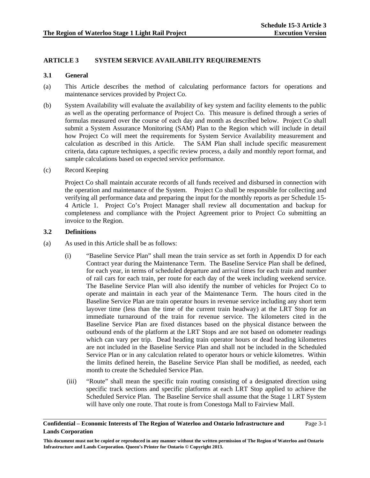## **ARTICLE 3 SYSTEM SERVICE AVAILABILITY REQUIREMENTS**

#### **3.1 General**

- (a) This Article describes the method of calculating performance factors for operations and maintenance services provided by Project Co.
- (b) System Availability will evaluate the availability of key system and facility elements to the public as well as the operating performance of Project Co. This measure is defined through a series of formulas measured over the course of each day and month as described below. Project Co shall submit a System Assurance Monitoring (SAM) Plan to the Region which will include in detail how Project Co will meet the requirements for System Service Availability measurement and calculation as described in this Article. The SAM Plan shall include specific measurement criteria, data capture techniques, a specific review process, a daily and monthly report format, and sample calculations based on expected service performance.
- (c) Record Keeping

Project Co shall maintain accurate records of all funds received and disbursed in connection with the operation and maintenance of the System. Project Co shall be responsible for collecting and verifying all performance data and preparing the input for the monthly reports as per Schedule 15- 4 Article 1. Project Co's Project Manager shall review all documentation and backup for completeness and compliance with the Project Agreement prior to Project Co submitting an invoice to the Region.

#### **3.2 Definitions**

- (a) As used in this Article shall be as follows:
	- (i) "Baseline Service Plan" shall mean the train service as set forth in Appendix D for each Contract year during the Maintenance Term. The Baseline Service Plan shall be defined, for each year, in terms of scheduled departure and arrival times for each train and number of rail cars for each train, per route for each day of the week including weekend service. The Baseline Service Plan will also identify the number of vehicles for Project Co to operate and maintain in each year of the Maintenance Term. The hours cited in the Baseline Service Plan are train operator hours in revenue service including any short term layover time (less than the time of the current train headway) at the LRT Stop for an immediate turnaround of the train for revenue service. The kilometers cited in the Baseline Service Plan are fixed distances based on the physical distance between the outbound ends of the platform at the LRT Stops and are not based on odometer readings which can vary per trip. Dead heading train operator hours or dead heading kilometres are not included in the Baseline Service Plan and shall not be included in the Scheduled Service Plan or in any calculation related to operator hours or vehicle kilometres. Within the limits defined herein, the Baseline Service Plan shall be modified, as needed, each month to create the Scheduled Service Plan.
	- (iii) "Route" shall mean the specific train routing consisting of a designated direction using specific track sections and specific platforms at each LRT Stop applied to achieve the Scheduled Service Plan. The Baseline Service shall assume that the Stage 1 LRT System will have only one route. That route is from Conestoga Mall to Fairview Mall.

## **Confidential – Economic Interests of The Region of Waterloo and Ontario Infrastructure and Lands Corporation**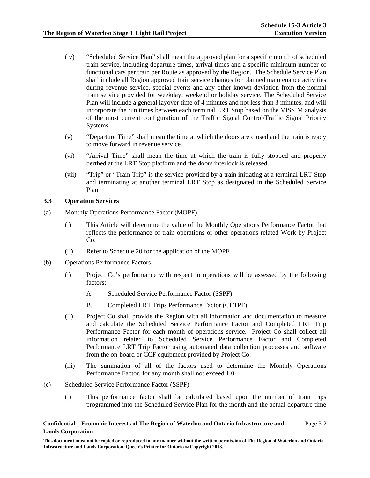- (iv) "Scheduled Service Plan" shall mean the approved plan for a specific month of scheduled train service, including departure times, arrival times and a specific minimum number of functional cars per train per Route as approved by the Region. The Schedule Service Plan shall include all Region approved train service changes for planned maintenance activities during revenue service, special events and any other known deviation from the normal train service provided for weekday, weekend or holiday service. The Scheduled Service Plan will include a general layover time of 4 minutes and not less than 3 minutes, and will incorporate the run times between each terminal LRT Stop based on the VISSIM analysis of the most current configuration of the Traffic Signal Control/Traffic Signal Priority Systems
- (v) "Departure Time" shall mean the time at which the doors are closed and the train is ready to move forward in revenue service.
- (vi) "Arrival Time" shall mean the time at which the train is fully stopped and properly berthed at the LRT Stop platform and the doors interlock is released.
- (vii) "Trip" or "Train Trip" is the service provided by a train initiating at a terminal LRT Stop and terminating at another terminal LRT Stop as designated in the Scheduled Service Plan

## **3.3 Operation Services**

- (a) Monthly Operations Performance Factor (MOPF)
	- (i) This Article will determine the value of the Monthly Operations Performance Factor that reflects the performance of train operations or other operations related Work by Project Co.
	- (ii) Refer to Schedule 20 for the application of the MOPF.
- (b) Operations Performance Factors
	- (i) Project Co's performance with respect to operations will be assessed by the following factors:
		- A. Scheduled Service Performance Factor (SSPF)
		- B. Completed LRT Trips Performance Factor (CLTPF)
	- (ii) Project Co shall provide the Region with all information and documentation to measure and calculate the Scheduled Service Performance Factor and Completed LRT Trip Performance Factor for each month of operations service. Project Co shall collect all information related to Scheduled Service Performance Factor and Completed Performance LRT Trip Factor using automated data collection processes and software from the on-board or CCF equipment provided by Project Co.
	- (iii) The summation of all of the factors used to determine the Monthly Operations Performance Factor, for any month shall not exceed 1.0.
- (c) Scheduled Service Performance Factor (SSPF)
	- (i) This performance factor shall be calculated based upon the number of train trips programmed into the Scheduled Service Plan for the month and the actual departure time

## **Confidential – Economic Interests of The Region of Waterloo and Ontario Infrastructure and Lands Corporation**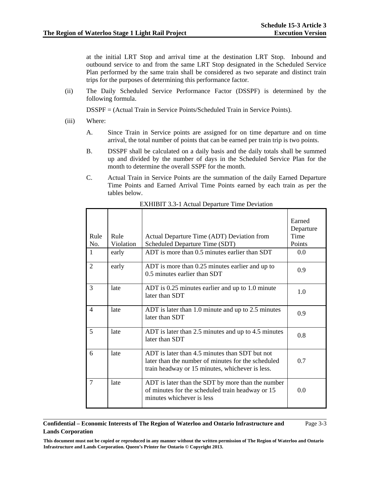at the initial LRT Stop and arrival time at the destination LRT Stop. Inbound and outbound service to and from the same LRT Stop designated in the Scheduled Service Plan performed by the same train shall be considered as two separate and distinct train trips for the purposes of determining this performance factor.

(ii) The Daily Scheduled Service Performance Factor (DSSPF) is determined by the following formula.

DSSPF = (Actual Train in Service Points/Scheduled Train in Service Points).

- (iii) Where:
	- A. Since Train in Service points are assigned for on time departure and on time arrival, the total number of points that can be earned per train trip is two points.
	- B. DSSPF shall be calculated on a daily basis and the daily totals shall be summed up and divided by the number of days in the Scheduled Service Plan for the month to determine the overall SSPF for the month.
	- C. Actual Train in Service Points are the summation of the daily Earned Departure Time Points and Earned Arrival Time Points earned by each train as per the tables below.

| Rule<br>No.    | Rule<br>Violation | Actual Departure Time (ADT) Deviation from<br>Scheduled Departure Time (SDT)                                                                            | Earned<br>Departure<br>Time<br>Points |
|----------------|-------------------|---------------------------------------------------------------------------------------------------------------------------------------------------------|---------------------------------------|
| $\mathbf{1}$   | early             | ADT is more than 0.5 minutes earlier than SDT                                                                                                           | 0.0                                   |
| $\overline{2}$ | early             | ADT is more than 0.25 minutes earlier and up to<br>0.5 minutes earlier than SDT                                                                         | 0.9                                   |
| 3              | late              | ADT is 0.25 minutes earlier and up to 1.0 minute<br>later than SDT                                                                                      | 1.0                                   |
| 4              | late              | ADT is later than 1.0 minute and up to 2.5 minutes<br>later than SDT                                                                                    | 0.9                                   |
| 5              | late              | ADT is later than 2.5 minutes and up to 4.5 minutes<br>later than SDT                                                                                   | 0.8                                   |
| 6              | late              | ADT is later than 4.5 minutes than SDT but not<br>later than the number of minutes for the scheduled<br>train headway or 15 minutes, whichever is less. | 0.7                                   |
| $\overline{7}$ | late              | ADT is later than the SDT by more than the number<br>of minutes for the scheduled train headway or 15<br>minutes whichever is less                      | 0.0                                   |

EXHIBIT 3.3-1 Actual Departure Time Deviation

## **Confidential – Economic Interests of The Region of Waterloo and Ontario Infrastructure and Lands Corporation**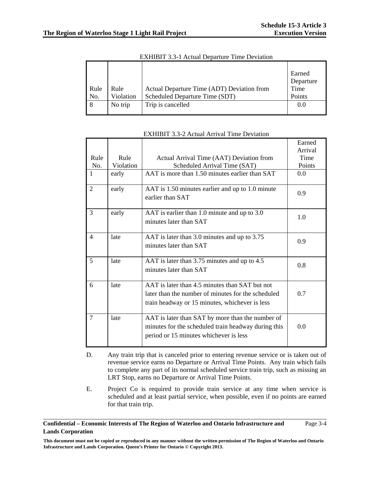|      |           |                                            | Earned    |
|------|-----------|--------------------------------------------|-----------|
|      |           |                                            | Departure |
| Rule | Rule      | Actual Departure Time (ADT) Deviation from | Time      |
| No.  | Violation | Scheduled Departure Time (SDT)             | Points    |
| 8    | No trip   | Trip is cancelled                          | 0.0       |
|      |           |                                            |           |

EXHIBIT 3.3-1 Actual Departure Time Deviation

|                |           |                                                                                                                                                        | Earned  |
|----------------|-----------|--------------------------------------------------------------------------------------------------------------------------------------------------------|---------|
|                |           |                                                                                                                                                        | Arrival |
| Rule           | Rule      | Actual Arrival Time (AAT) Deviation from                                                                                                               | Time    |
| No.            | Violation | Scheduled Arrival Time (SAT)                                                                                                                           | Points  |
| $\mathbf{1}$   | early     | AAT is more than 1.50 minutes earlier than SAT                                                                                                         | 0.0     |
| $\overline{2}$ | early     | AAT is 1.50 minutes earlier and up to 1.0 minute<br>earlier than SAT                                                                                   | 0.9     |
| 3              | early     | AAT is earlier than 1.0 minute and up to 3.0<br>minutes later than SAT                                                                                 | 1.0     |
| $\overline{4}$ | late      | AAT is later than 3.0 minutes and up to 3.75<br>minutes later than SAT                                                                                 | 0.9     |
| 5              | late      | AAT is later than 3.75 minutes and up to 4.5<br>minutes later than SAT                                                                                 | 0.8     |
| 6              | late      | AAT is later than 4.5 minutes than SAT but not<br>later than the number of minutes for the scheduled<br>train headway or 15 minutes, whichever is less | 0.7     |
| $\tau$         | late      | AAT is later than SAT by more than the number of<br>minutes for the scheduled train headway during this<br>period or 15 minutes whichever is less      | 0.0     |

#### EXHIBIT 3.3-2 Actual Arrival Time Deviation

- D. Any train trip that is canceled prior to entering revenue service or is taken out of revenue service earns no Departure or Arrival Time Points. Any train which fails to complete any part of its normal scheduled service train trip, such as missing an LRT Stop, earns no Departure or Arrival Time Points.
- E. Project Co is required to provide train service at any time when service is scheduled and at least partial service, when possible, even if no points are earned for that train trip.

## **Confidential – Economic Interests of The Region of Waterloo and Ontario Infrastructure and Lands Corporation**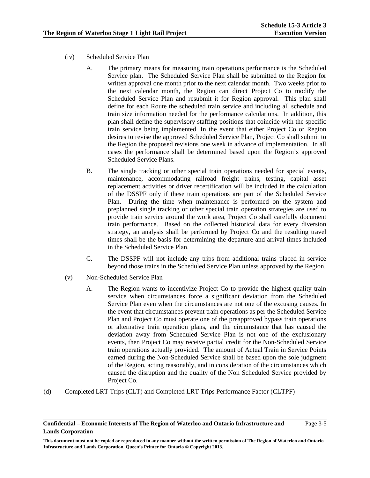- (iv) Scheduled Service Plan
	- A. The primary means for measuring train operations performance is the Scheduled Service plan. The Scheduled Service Plan shall be submitted to the Region for written approval one month prior to the next calendar month. Two weeks prior to the next calendar month, the Region can direct Project Co to modify the Scheduled Service Plan and resubmit it for Region approval. This plan shall define for each Route the scheduled train service and including all schedule and train size information needed for the performance calculations. In addition, this plan shall define the supervisory staffing positions that coincide with the specific train service being implemented. In the event that either Project Co or Region desires to revise the approved Scheduled Service Plan, Project Co shall submit to the Region the proposed revisions one week in advance of implementation. In all cases the performance shall be determined based upon the Region's approved Scheduled Service Plans.
	- B. The single tracking or other special train operations needed for special events, maintenance, accommodating railroad freight trains, testing, capital asset replacement activities or driver recertification will be included in the calculation of the DSSPF only if these train operations are part of the Scheduled Service Plan. During the time when maintenance is performed on the system and preplanned single tracking or other special train operation strategies are used to provide train service around the work area, Project Co shall carefully document train performance. Based on the collected historical data for every diversion strategy, an analysis shall be performed by Project Co and the resulting travel times shall be the basis for determining the departure and arrival times included in the Scheduled Service Plan.
	- C. The DSSPF will not include any trips from additional trains placed in service beyond those trains in the Scheduled Service Plan unless approved by the Region.
- (v) Non-Scheduled Service Plan
	- A. The Region wants to incentivize Project Co to provide the highest quality train service when circumstances force a significant deviation from the Scheduled Service Plan even when the circumstances are not one of the excusing causes. In the event that circumstances prevent train operations as per the Scheduled Service Plan and Project Co must operate one of the preapproved bypass train operations or alternative train operation plans, and the circumstance that has caused the deviation away from Scheduled Service Plan is not one of the exclusionary events, then Project Co may receive partial credit for the Non-Scheduled Service train operations actually provided. The amount of Actual Train in Service Points earned during the Non-Scheduled Service shall be based upon the sole judgment of the Region, acting reasonably, and in consideration of the circumstances which caused the disruption and the quality of the Non Scheduled Service provided by Project Co.
- (d) Completed LRT Trips (CLT) and Completed LRT Trips Performance Factor (CLTPF)

**This document must not be copied or reproduced in any manner without the written permission of The Region of Waterloo and Ontario Infrastructure and Lands Corporation. Queen's Printer for Ontario © Copyright 2013.**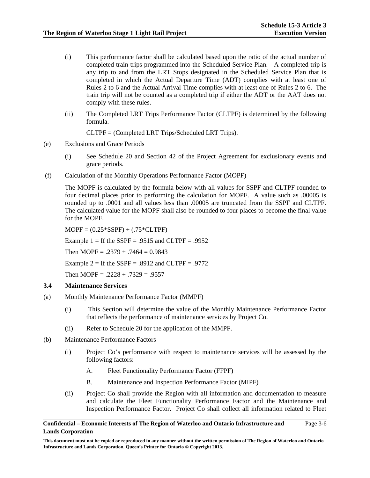- (i) This performance factor shall be calculated based upon the ratio of the actual number of completed train trips programmed into the Scheduled Service Plan. A completed trip is any trip to and from the LRT Stops designated in the Scheduled Service Plan that is completed in which the Actual Departure Time (ADT) complies with at least one of Rules 2 to 6 and the Actual Arrival Time complies with at least one of Rules 2 to 6. The train trip will not be counted as a completed trip if either the ADT or the AAT does not comply with these rules.
- (ii) The Completed LRT Trips Performance Factor (CLTPF) is determined by the following formula.

CLTPF = (Completed LRT Trips/Scheduled LRT Trips).

- (e) Exclusions and Grace Periods
	- (i) See Schedule 20 and Section 42 of the Project Agreement for exclusionary events and grace periods.
- (f) Calculation of the Monthly Operations Performance Factor (MOPF)

The MOPF is calculated by the formula below with all values for SSPF and CLTPF rounded to four decimal places prior to performing the calculation for MOPF. A value such as .00005 is rounded up to .0001 and all values less than .00005 are truncated from the SSPF and CLTPF. The calculated value for the MOPF shall also be rounded to four places to become the final value for the MOPF.

 $MOPF = (0.25*SSPF) + (.75*CLTPF)$ 

Example  $1 =$  If the SSPF = .9515 and CLTPF = .9952

Then MOPF =  $.2379 + .7464 = 0.9843$ 

Example  $2 =$  If the SSPF = .8912 and CLTPF = .9772

Then MOPF =  $.2228 + .7329 = .9557$ 

## **3.4 Maintenance Services**

- (a) Monthly Maintenance Performance Factor (MMPF)
	- (i) This Section will determine the value of the Monthly Maintenance Performance Factor that reflects the performance of maintenance services by Project Co.
	- (ii) Refer to Schedule 20 for the application of the MMPF.
- (b) Maintenance Performance Factors
	- (i) Project Co's performance with respect to maintenance services will be assessed by the following factors:
		- A. Fleet Functionality Performance Factor (FFPF)
		- B. Maintenance and Inspection Performance Factor (MIPF)
	- (ii) Project Co shall provide the Region with all information and documentation to measure and calculate the Fleet Functionality Performance Factor and the Maintenance and Inspection Performance Factor. Project Co shall collect all information related to Fleet

```
Confidential – Economic Interests of The Region of Waterloo and Ontario Infrastructure and 
Lands Corporation 
                                                                                                  Page 3-6
```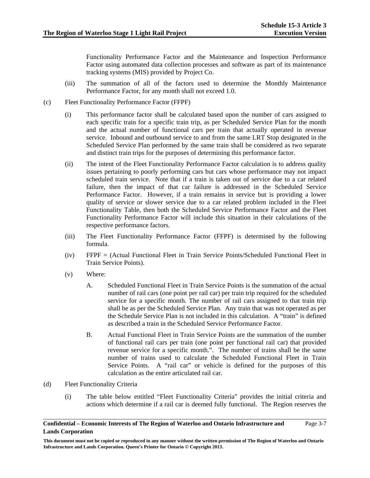Functionality Performance Factor and the Maintenance and Inspection Performance Factor using automated data collection processes and software as part of its maintenance tracking systems (MIS) provided by Project Co.

- (iii) The summation of all of the factors used to determine the Monthly Maintenance Performance Factor, for any month shall not exceed 1.0.
- (c) Fleet Functionality Performance Factor (FFPF)
	- (i) This performance factor shall be calculated based upon the number of cars assigned to each specific train for a specific train trip, as per Scheduled Service Plan for the month and the actual number of functional cars per train that actually operated in revenue service. Inbound and outbound service to and from the same LRT Stop designated in the Scheduled Service Plan performed by the same train shall be considered as two separate and distinct train trips for the purposes of determining this performance factor.
	- (ii) The intent of the Fleet Functionality Performance Factor calculation is to address quality issues pertaining to poorly performing cars but cars whose performance may not impact scheduled train service. Note that if a train is taken out of service due to a car related failure, then the impact of that car failure is addressed in the Scheduled Service Performance Factor. However, if a train remains in service but is providing a lower quality of service or slower service due to a car related problem included in the Fleet Functionality Table, then both the Scheduled Service Performance Factor and the Fleet Functionality Performance Factor will include this situation in their calculations of the respective performance factors.
	- (iii) The Fleet Functionality Performance Factor (FFPF) is determined by the following formula.
	- (iv) FFPF = (Actual Functional Fleet in Train Service Points/Scheduled Functional Fleet in Train Service Points).
	- (v) Where:
		- A. Scheduled Functional Fleet in Train Service Points is the summation of the actual number of rail cars (one point per rail car) per train trip required for the scheduled service for a specific month. The number of rail cars assigned to that train trip shall be as per the Scheduled Service Plan. Any train that was not operated as per the Schedule Service Plan is not included in this calculation. A "train" is defined as described a train in the Scheduled Service Performance Factor.
		- B. Actual Functional Fleet in Train Service Points are the summation of the number of functional rail cars per train (one point per functional rail car) that provided revenue service for a specific month.". The number of trains shall be the same number of trains used to calculate the Scheduled Functional Fleet in Train Service Points. A "rail car" or vehicle is defined for the purposes of this calculation as the entire articulated rail car.
- (d) Fleet Functionality Criteria
	- (i) The table below entitled "Fleet Functionality Criteria" provides the initial criteria and actions which determine if a rail car is deemed fully functional. The Region reserves the

## **Confidential – Economic Interests of The Region of Waterloo and Ontario Infrastructure and Lands Corporation**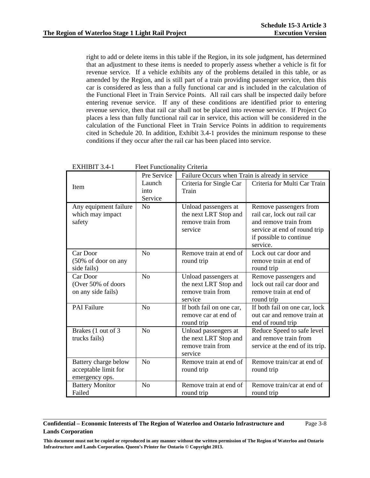right to add or delete items in this table if the Region, in its sole judgment, has determined that an adjustment to these items is needed to properly assess whether a vehicle is fit for revenue service. If a vehicle exhibits any of the problems detailed in this table, or as amended by the Region, and is still part of a train providing passenger service, then this car is considered as less than a fully functional car and is included in the calculation of the Functional Fleet in Train Service Points. All rail cars shall be inspected daily before entering revenue service. If any of these conditions are identified prior to entering revenue service, then that rail car shall not be placed into revenue service. If Project Co places a less than fully functional rail car in service, this action will be considered in the calculation of the Functional Fleet in Train Service Points in addition to requirements cited in Schedule 20. In addition, Exhibit 3.4-1 provides the minimum response to these conditions if they occur after the rail car has been placed into service.

|                                              | Pre Service    |                              | Failure Occurs when Train is already in service |  |
|----------------------------------------------|----------------|------------------------------|-------------------------------------------------|--|
| Item                                         | Launch         | Criteria for Single Car      | Criteria for Multi Car Train                    |  |
|                                              | into           | Train                        |                                                 |  |
|                                              | Service        |                              |                                                 |  |
| Any equipment failure                        | N <sub>o</sub> | Unload passengers at         | Remove passengers from                          |  |
| which may impact                             |                | the next LRT Stop and        | rail car, lock out rail car                     |  |
| safety                                       |                | remove train from            | and remove train from                           |  |
|                                              |                | service                      | service at end of round trip                    |  |
|                                              |                |                              | if possible to continue                         |  |
|                                              |                |                              | service.                                        |  |
| Car Door                                     | No             | Remove train at end of       | Lock out car door and                           |  |
| (50% of door on any                          |                | round trip                   | remove train at end of                          |  |
| side fails)                                  |                |                              | round trip                                      |  |
| Car Door                                     | N <sub>0</sub> | Unload passengers at         | Remove passengers and                           |  |
| (Over 50% of doors                           |                | the next LRT Stop and        | lock out rail car door and                      |  |
| on any side fails)                           |                | remove train from            | remove train at end of                          |  |
|                                              |                | service                      | round trip                                      |  |
| <b>PAI Failure</b>                           | N <sub>o</sub> | If both fail on one car,     | If both fail on one car, lock                   |  |
|                                              |                | remove car at end of         | out car and remove train at                     |  |
|                                              |                | round trip                   | end of round trip                               |  |
| Brakes (1 out of 3                           | N <sub>o</sub> | Unload passengers at         | Reduce Speed to safe level                      |  |
| trucks fails)                                |                | the next LRT Stop and        | and remove train from                           |  |
|                                              |                | remove train from<br>service | service at the end of its trip.                 |  |
|                                              | N <sub>o</sub> | Remove train at end of       | Remove train/car at end of                      |  |
| Battery charge below<br>acceptable limit for |                | round trip                   | round trip                                      |  |
| emergency ops.                               |                |                              |                                                 |  |
| <b>Battery Monitor</b>                       | N <sub>o</sub> | Remove train at end of       | Remove train/car at end of                      |  |
| Failed                                       |                | round trip                   | round trip                                      |  |
|                                              |                |                              |                                                 |  |

EXHIBIT 3.4-1 Fleet Functionality Criteria

## **Confidential – Economic Interests of The Region of Waterloo and Ontario Infrastructure and Lands Corporation**

Page 3-8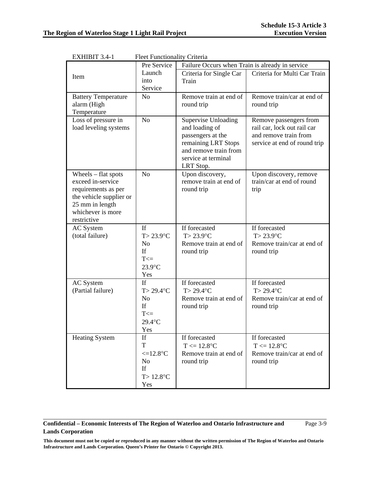| LAIIIDII J. <del>1</del> -1 | PICCUP CHICHOHAIRY CHICHA |                                                 |                              |  |
|-----------------------------|---------------------------|-------------------------------------------------|------------------------------|--|
|                             | Pre Service               | Failure Occurs when Train is already in service |                              |  |
| Item                        | Launch                    | Criteria for Single Car                         | Criteria for Multi Car Train |  |
|                             | into                      | Train                                           |                              |  |
|                             | Service                   |                                                 |                              |  |
| <b>Battery Temperature</b>  | No                        | Remove train at end of                          | Remove train/car at end of   |  |
| alarm (High                 |                           | round trip                                      | round trip                   |  |
| Temperature                 |                           |                                                 |                              |  |
| Loss of pressure in         | N <sub>o</sub>            | Supervise Unloading                             | Remove passengers from       |  |
| load leveling systems       |                           | and loading of                                  | rail car, lock out rail car  |  |
|                             |                           | passengers at the                               | and remove train from        |  |
|                             |                           | remaining LRT Stops                             | service at end of round trip |  |
|                             |                           | and remove train from                           |                              |  |
|                             |                           | service at terminal                             |                              |  |
|                             |                           | LRT Stop.                                       |                              |  |
| Wheels $-$ flat spots       | N <sub>o</sub>            | Upon discovery,                                 | Upon discovery, remove       |  |
| exceed in-service           |                           | remove train at end of                          | train/car at end of round    |  |
| requirements as per         |                           | round trip                                      | trip                         |  |
| the vehicle supplier or     |                           |                                                 |                              |  |
| 25 mm in length             |                           |                                                 |                              |  |
| whichever is more           |                           |                                                 |                              |  |
| restrictive                 |                           |                                                 |                              |  |
| AC System                   | If                        | If forecasted                                   | If forecasted                |  |
| (total failure)             | $T > 23.9$ °C             | $T > 23.9$ °C                                   | $T > 23.9$ °C                |  |
|                             | No                        | Remove train at end of                          | Remove train/car at end of   |  |
|                             | If                        | round trip                                      | round trip                   |  |
|                             | $T \leq 1$                |                                                 |                              |  |
|                             | 23.9°C                    |                                                 |                              |  |
|                             |                           |                                                 |                              |  |
|                             | Yes<br>If                 | If forecasted                                   | If forecasted                |  |
| <b>AC</b> System            |                           |                                                 |                              |  |
| (Partial failure)           | $T > 29.4$ °C             | $T > 29.4$ °C                                   | $T > 29.4$ °C                |  |
|                             | No                        | Remove train at end of                          | Remove train/car at end of   |  |
|                             | If                        | round trip                                      | round trip                   |  |
|                             | $T \leq 1$                |                                                 |                              |  |
|                             | 29.4°C                    |                                                 |                              |  |
|                             | Yes                       |                                                 |                              |  |
| <b>Heating System</b>       | If                        | If forecasted                                   | If forecasted                |  |
|                             | T                         | $T \le 12.8$ °C                                 | $T \le 12.8$ °C              |  |
|                             | $\leq$ =12.8°C            | Remove train at end of                          | Remove train/car at end of   |  |
|                             | No                        | round trip                                      | round trip                   |  |
|                             | If                        |                                                 |                              |  |
|                             | $T > 12.8$ °C             |                                                 |                              |  |
|                             | Yes                       |                                                 |                              |  |

EXHIBIT 3.4-1 Fleet Functionality Criteria

## **Confidential – Economic Interests of The Region of Waterloo and Ontario Infrastructure and Lands Corporation**

Page 3-9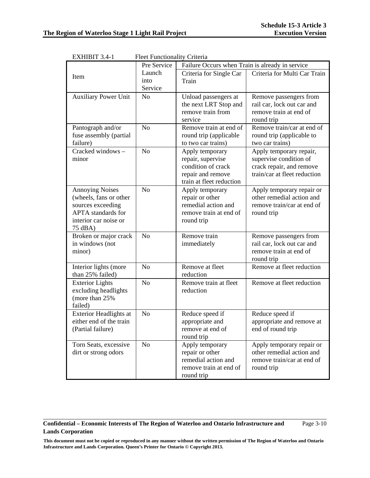| <u>елпіріі 5.4-і</u>          | Fleet Functionality Criteria |                                                 |                              |  |
|-------------------------------|------------------------------|-------------------------------------------------|------------------------------|--|
|                               | Pre Service                  | Failure Occurs when Train is already in service |                              |  |
| Item                          | Launch                       | Criteria for Single Car                         | Criteria for Multi Car Train |  |
|                               | into                         | Train                                           |                              |  |
|                               | Service                      |                                                 |                              |  |
| <b>Auxiliary Power Unit</b>   | N <sub>o</sub>               | Unload passengers at                            | Remove passengers from       |  |
|                               |                              | the next LRT Stop and                           | rail car, lock out car and   |  |
|                               |                              | remove train from                               | remove train at end of       |  |
|                               |                              | service                                         | round trip                   |  |
| Pantograph and/or             | N <sub>o</sub>               | Remove train at end of                          | Remove train/car at end of   |  |
| fuse assembly (partial        |                              | round trip (applicable                          | round trip (applicable to    |  |
| failure)                      |                              | to two car trains)                              | two car trains)              |  |
| Cracked windows $-$           | N <sub>o</sub>               | Apply temporary                                 | Apply temporary repair,      |  |
| minor                         |                              | repair, supervise                               | supervise condition of       |  |
|                               |                              | condition of crack                              | crack repair, and remove     |  |
|                               |                              | repair and remove                               | train/car at fleet reduction |  |
|                               |                              | train at fleet reduction                        |                              |  |
| <b>Annoying Noises</b>        | N <sub>o</sub>               | Apply temporary                                 | Apply temporary repair or    |  |
| (wheels, fans or other        |                              | repair or other                                 | other remedial action and    |  |
| sources exceeding             |                              | remedial action and                             | remove train/car at end of   |  |
| <b>APTA</b> standards for     |                              | remove train at end of                          | round trip                   |  |
| interior car noise or         |                              | round trip                                      |                              |  |
| 75 dBA)                       |                              |                                                 |                              |  |
| Broken or major crack         | N <sub>o</sub>               | Remove train                                    | Remove passengers from       |  |
| in windows (not               |                              | immediately                                     | rail car, lock out car and   |  |
| minor)                        |                              |                                                 | remove train at end of       |  |
|                               |                              |                                                 | round trip                   |  |
| Interior lights (more         | N <sub>o</sub>               | Remove at fleet                                 | Remove at fleet reduction    |  |
| than 25% failed)              |                              | reduction                                       |                              |  |
| <b>Exterior Lights</b>        | N <sub>o</sub>               | Remove train at fleet                           | Remove at fleet reduction    |  |
| excluding headlights          |                              | reduction                                       |                              |  |
| (more than 25%                |                              |                                                 |                              |  |
| failed)                       |                              |                                                 |                              |  |
| <b>Exterior Headlights at</b> | No                           | Reduce speed if                                 | Reduce speed if              |  |
| either end of the train       |                              | appropriate and                                 | appropriate and remove at    |  |
| (Partial failure)             |                              | remove at end of                                | end of round trip            |  |
|                               |                              | round trip                                      |                              |  |
| Torn Seats, excessive         | N <sub>o</sub>               | Apply temporary                                 | Apply temporary repair or    |  |
| dirt or strong odors          |                              | repair or other                                 | other remedial action and    |  |
|                               |                              | remedial action and                             | remove train/car at end of   |  |
|                               |                              | remove train at end of                          | round trip                   |  |
|                               |                              | round trip                                      |                              |  |

 $EVALUATE 2.4-1$  Floot Functionality Criteria

## **Confidential – Economic Interests of The Region of Waterloo and Ontario Infrastructure and Lands Corporation**

Page 3-10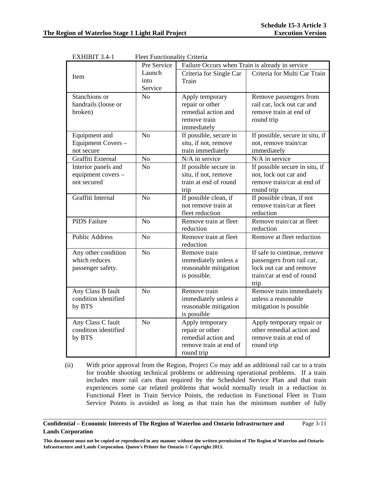| едиции э. <del>ч</del> | гтест г инспонанту Спісна<br>Failure Occurs when Train is already in service<br>Pre Service |                                    |                                        |
|------------------------|---------------------------------------------------------------------------------------------|------------------------------------|----------------------------------------|
| Item                   | Launch                                                                                      | Criteria for Single Car            | Criteria for Multi Car Train           |
|                        | into                                                                                        | Train                              |                                        |
|                        | Service                                                                                     |                                    |                                        |
| Stanchions or          | N <sub>o</sub>                                                                              | Apply temporary                    | Remove passengers from                 |
| handrails (loose or    |                                                                                             | repair or other                    | rail car, lock out car and             |
| broken)                |                                                                                             | remedial action and                | remove train at end of                 |
|                        |                                                                                             | remove train<br>immediately        | round trip                             |
| Equipment and          | N <sub>o</sub>                                                                              | If possible, secure in             | If possible, secure in situ, if        |
| Equipment Covers -     |                                                                                             | situ, if not, remove               | not, remove train/car                  |
| not secure             |                                                                                             | train immediately                  | immediately                            |
| Graffiti External      | N <sub>o</sub>                                                                              | N/A in service                     | N/A in service                         |
| Interior panels and    | N <sub>o</sub>                                                                              | If possible secure in              | If possible secure in situ, if         |
| equipment covers -     |                                                                                             | situ, if not, remove               | not, lock out car and                  |
| not secured            |                                                                                             | train at end of round              | remove train/car at end of             |
|                        |                                                                                             | trip                               | round trip                             |
| Graffiti Internal      | N <sub>o</sub>                                                                              | If possible clean, if              | If possible clean, if not              |
|                        |                                                                                             | not remove train at                | remove train/car at fleet              |
|                        |                                                                                             | fleet reduction                    | reduction                              |
| <b>PIDS</b> Failure    | N <sub>o</sub>                                                                              | Remove train at fleet<br>reduction | Remove train/car at fleet<br>reduction |
| <b>Public Address</b>  | N <sub>o</sub>                                                                              | Remove train at fleet              | Remove at fleet reduction              |
|                        |                                                                                             | reduction                          |                                        |
| Any other condition    | N <sub>o</sub>                                                                              | Remove train                       | If safe to continue, remove            |
| which reduces          |                                                                                             | immediately unless a               | passengers from rail car,              |
| passenger safety.      |                                                                                             | reasonable mitigation              | lock out car and remove                |
|                        |                                                                                             | is possible.                       | train/car at end of round<br>trip      |
| Any Class B fault      | N <sub>o</sub>                                                                              | Remove train                       | Remove train immediately               |
| condition identified   |                                                                                             | immediately unless a               | unless a reasonable                    |
| by BTS                 |                                                                                             | reasonable mitigation              | mitigation is possible                 |
|                        |                                                                                             | is possible                        |                                        |
| Any Class C fault      | N <sub>o</sub>                                                                              | Apply temporary                    | Apply temporary repair or              |
| condition identified   |                                                                                             | repair or other                    | other remedial action and              |
| by BTS                 |                                                                                             | remedial action and                | remove train at end of                 |
|                        |                                                                                             | remove train at end of             | round trip                             |
|                        |                                                                                             | round trip                         |                                        |

EXHIBIT 3.4-1 Fleet Functionality Criteria

(ii) With prior approval from the Region, Project Co may add an additional rail car to a train for trouble shooting technical problems or addressing operational problems. If a train includes more rail cars than required by the Scheduled Service Plan and that train experiences some car related problems that would normally result in a reduction in Functional Fleet in Train Service Points, the reduction in Functional Fleet in Train Service Points is avoided as long as that train has the minimum number of fully

#### **Confidential – Economic Interests of The Region of Waterloo and Ontario Infrastructure and Lands Corporation**  Page 3-11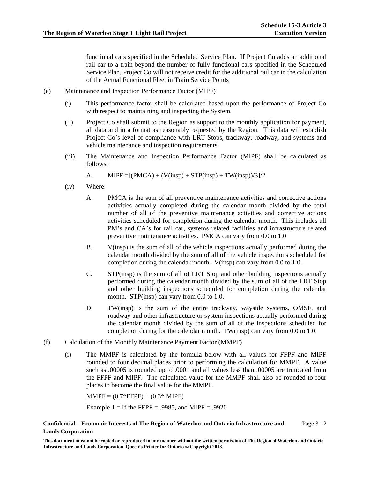functional cars specified in the Scheduled Service Plan. If Project Co adds an additional rail car to a train beyond the number of fully functional cars specified in the Scheduled Service Plan, Project Co will not receive credit for the additional rail car in the calculation of the Actual Functional Fleet in Train Service Points

- (e) Maintenance and Inspection Performance Factor (MIPF)
	- (i) This performance factor shall be calculated based upon the performance of Project Co with respect to maintaining and inspecting the System.
	- (ii) Project Co shall submit to the Region as support to the monthly application for payment, all data and in a format as reasonably requested by the Region. This data will establish Project Co's level of compliance with LRT Stops, trackway, roadway, and systems and vehicle maintenance and inspection requirements.
	- (iii) The Maintenance and Inspection Performance Factor (MIPF) shall be calculated as follows:

A. MIPF =  $[(PMCA) + (V(insp) + STP(insp) + TW(insp))/3]/2$ .

- (iv) Where:
	- A. PMCA is the sum of all preventive maintenance activities and corrective actions activities actually completed during the calendar month divided by the total number of all of the preventive maintenance activities and corrective actions activities scheduled for completion during the calendar month. This includes all PM's and CA's for rail car, systems related facilities and infrastructure related preventive maintenance activities. PMCA can vary from 0.0 to 1.0
	- B. V(insp) is the sum of all of the vehicle inspections actually performed during the calendar month divided by the sum of all of the vehicle inspections scheduled for completion during the calendar month. V(insp) can vary from 0.0 to 1.0.
	- C. STP(insp) is the sum of all of LRT Stop and other building inspections actually performed during the calendar month divided by the sum of all of the LRT Stop and other building inspections scheduled for completion during the calendar month. STP(insp) can vary from 0.0 to 1.0.
	- D. TW(insp) is the sum of the entire trackway, wayside systems, OMSF, and roadway and other infrastructure or system inspections actually performed during the calendar month divided by the sum of all of the inspections scheduled for completion during for the calendar month. TW(insp) can vary from 0.0 to 1.0.
- (f) Calculation of the Monthly Maintenance Payment Factor (MMPF)
	- (i) The MMPF is calculated by the formula below with all values for FFPF and MIPF rounded to four decimal places prior to performing the calculation for MMPF. A value such as .00005 is rounded up to .0001 and all values less than .00005 are truncated from the FFPF and MIPF. The calculated value for the MMPF shall also be rounded to four places to become the final value for the MMPF.

 $MMPF = (0.7*FFFPF) + (0.3*MIPF)$ 

Example  $1 =$  If the FFPF = .9985, and MIPF = .9920

#### **Confidential – Economic Interests of The Region of Waterloo and Ontario Infrastructure and Lands Corporation**  Page 3-12

**This document must not be copied or reproduced in any manner without the written permission of The Region of Waterloo and Ontario Infrastructure and Lands Corporation. Queen's Printer for Ontario © Copyright 2013.**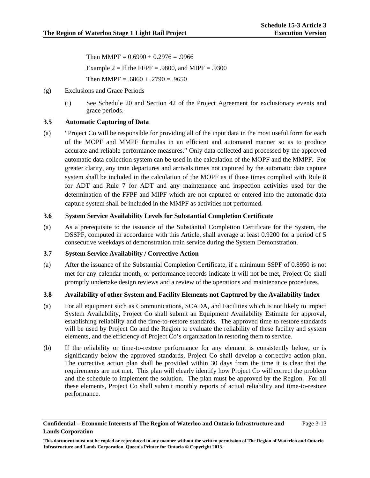Then MMPF =  $0.6990 + 0.2976 = .9966$ Example  $2 =$  If the FFPF = .9800, and MIPF = .9300 Then MMPF =  $.6860 + .2790 = .9650$ 

- (g) Exclusions and Grace Periods
	- (i) See Schedule 20 and Section 42 of the Project Agreement for exclusionary events and grace periods.

## **3.5 Automatic Capturing of Data**

(a) "Project Co will be responsible for providing all of the input data in the most useful form for each of the MOPF and MMPF formulas in an efficient and automated manner so as to produce accurate and reliable performance measures." Only data collected and processed by the approved automatic data collection system can be used in the calculation of the MOPF and the MMPF. For greater clarity, any train departures and arrivals times not captured by the automatic data capture system shall be included in the calculation of the MOPF as if those times complied with Rule 8 for ADT and Rule 7 for ADT and any maintenance and inspection activities used for the determination of the FFPF and MIPF which are not captured or entered into the automatic data capture system shall be included in the MMPF as activities not performed.

## **3.6 System Service Availability Levels for Substantial Completion Certificate**

(a) As a prerequisite to the issuance of the Substantial Completion Certificate for the System, the DSSPF, computed in accordance with this Article, shall average at least 0.9200 for a period of 5 consecutive weekdays of demonstration train service during the System Demonstration.

## **3.7 System Service Availability / Corrective Action**

(a) After the issuance of the Substantial Completion Certificate, if a minimum SSPF of 0.8950 is not met for any calendar month, or performance records indicate it will not be met, Project Co shall promptly undertake design reviews and a review of the operations and maintenance procedures.

## **3.8 Availability of other System and Facility Elements not Captured by the Availability Index**

- (a) For all equipment such as Communications, SCADA, and Facilities which is not likely to impact System Availability, Project Co shall submit an Equipment Availability Estimate for approval, establishing reliability and the time-to-restore standards. The approved time to restore standards will be used by Project Co and the Region to evaluate the reliability of these facility and system elements, and the efficiency of Project Co's organization in restoring them to service.
- (b) If the reliability or time-to-restore performance for any element is consistently below, or is significantly below the approved standards, Project Co shall develop a corrective action plan. The corrective action plan shall be provided within 30 days from the time it is clear that the requirements are not met. This plan will clearly identify how Project Co will correct the problem and the schedule to implement the solution. The plan must be approved by the Region. For all these elements, Project Co shall submit monthly reports of actual reliability and time-to-restore performance.

#### **Confidential – Economic Interests of The Region of Waterloo and Ontario Infrastructure and Lands Corporation**  Page 3-13

**This document must not be copied or reproduced in any manner without the written permission of The Region of Waterloo and Ontario Infrastructure and Lands Corporation. Queen's Printer for Ontario © Copyright 2013.**